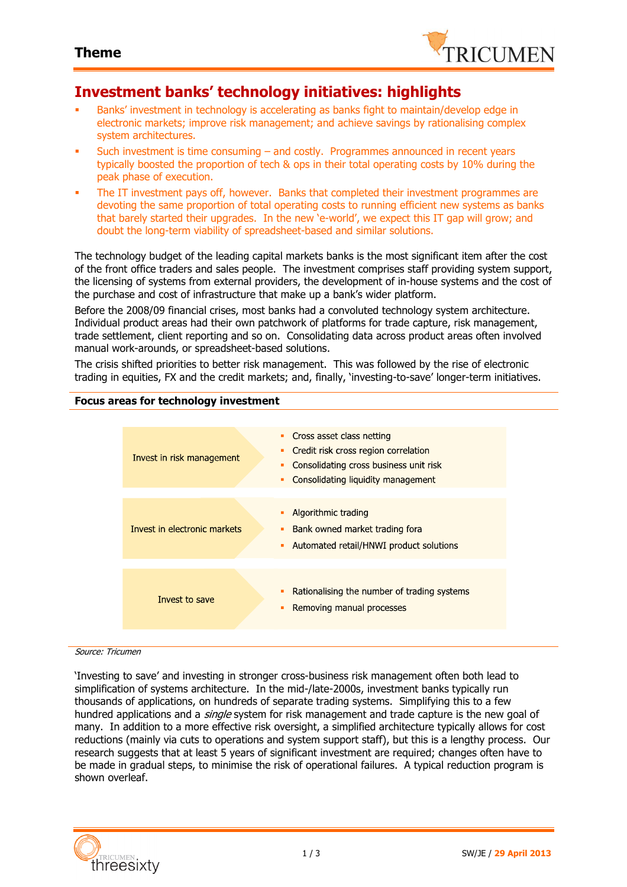

### **Investment banks' technology initiatives: highlights**

- Banks' investment in technology is accelerating as banks fight to maintain/develop edge in electronic markets; improve risk management; and achieve savings by rationalising complex system architectures.
- Such investment is time consuming and costly. Programmes announced in recent years typically boosted the proportion of tech & ops in their total operating costs by 10% during the peak phase of execution.
- The IT investment pays off, however. Banks that completed their investment programmes are devoting the same proportion of total operating costs to running efficient new systems as banks that barely started their upgrades. In the new 'e-world', we expect this IT gap will grow; and doubt the long-term viability of spreadsheet-based and similar solutions.

The technology budget of the leading capital markets banks is the most significant item after the cost of the front office traders and sales people. The investment comprises staff providing system support, the licensing of systems from external providers, the development of in-house systems and the cost of the purchase and cost of infrastructure that make up a bank's wider platform.

Before the 2008/09 financial crises, most banks had a convoluted technology system architecture. Individual product areas had their own patchwork of platforms for trade capture, risk management, trade settlement, client reporting and so on. Consolidating data across product areas often involved manual work-arounds, or spreadsheet-based solutions.

The crisis shifted priorities to better risk management. This was followed by the rise of electronic trading in equities, FX and the credit markets; and, finally, 'investing-to-save' longer-term initiatives.

### **Focus areas for technology investment**

| Invest in risk management    | Cross asset class netting<br>٠<br>Credit risk cross region correlation<br>٠<br>Consolidating cross business unit risk<br>п<br>Consolidating liquidity management<br>٠ |
|------------------------------|-----------------------------------------------------------------------------------------------------------------------------------------------------------------------|
| Invest in electronic markets | Algorithmic trading<br>٠<br>Bank owned market trading fora<br>п<br>Automated retail/HNWI product solutions<br>٠                                                       |
| Invest to save               | Rationalising the number of trading systems<br>Removing manual processes<br>п                                                                                         |

#### Source: Tricumen

'Investing to save' and investing in stronger cross-business risk management often both lead to simplification of systems architecture. In the mid-/late-2000s, investment banks typically run thousands of applications, on hundreds of separate trading systems. Simplifying this to a few hundred applications and a *single* system for risk management and trade capture is the new goal of many. In addition to a more effective risk oversight, a simplified architecture typically allows for cost reductions (mainly via cuts to operations and system support staff), but this is a lengthy process. Our research suggests that at least 5 years of significant investment are required; changes often have to be made in gradual steps, to minimise the risk of operational failures. A typical reduction program is shown overleaf.

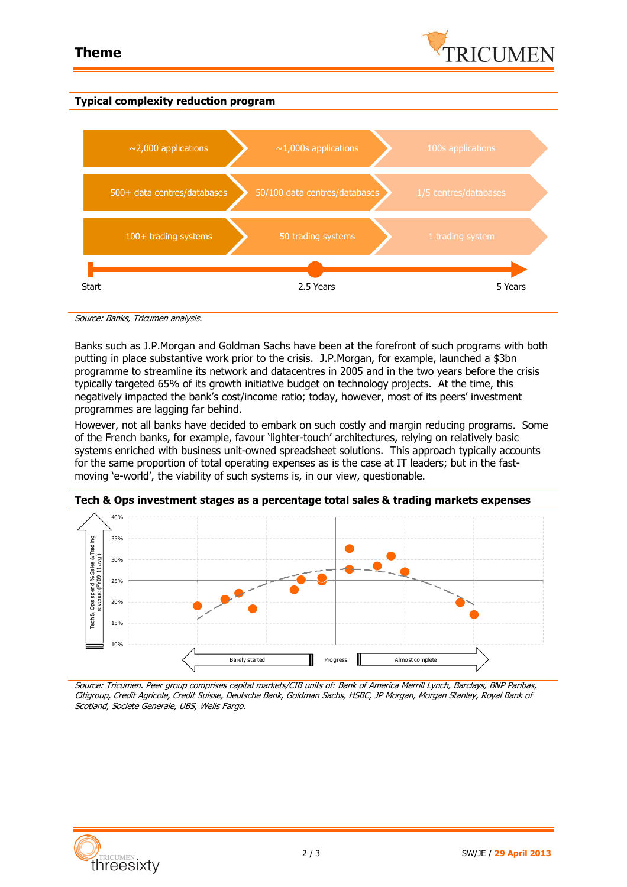

### **Typical complexity reduction program**



Source: Banks, Tricumen analysis.

Banks such as J.P.Morgan and Goldman Sachs have been at the forefront of such programs with both putting in place substantive work prior to the crisis. J.P.Morgan, for example, launched a \$3bn programme to streamline its network and datacentres in 2005 and in the two years before the crisis typically targeted 65% of its growth initiative budget on technology projects. At the time, this negatively impacted the bank's cost/income ratio; today, however, most of its peers' investment programmes are lagging far behind.

However, not all banks have decided to embark on such costly and margin reducing programs. Some of the French banks, for example, favour 'lighter-touch' architectures, relying on relatively basic systems enriched with business unit-owned spreadsheet solutions. This approach typically accounts for the same proportion of total operating expenses as is the case at IT leaders; but in the fastmoving 'e-world', the viability of such systems is, in our view, questionable.



**Tech & Ops investment stages as a percentage total sales & trading markets expenses**

Source: Tricumen. Peer group comprises capital markets/CIB units of: Bank of America Merrill Lynch, Barclays, BNP Paribas, Citigroup, Credit Agricole, Credit Suisse, Deutsche Bank, Goldman Sachs, HSBC, JP Morgan, Morgan Stanley, Royal Bank of Scotland, Societe Generale, UBS, Wells Fargo.